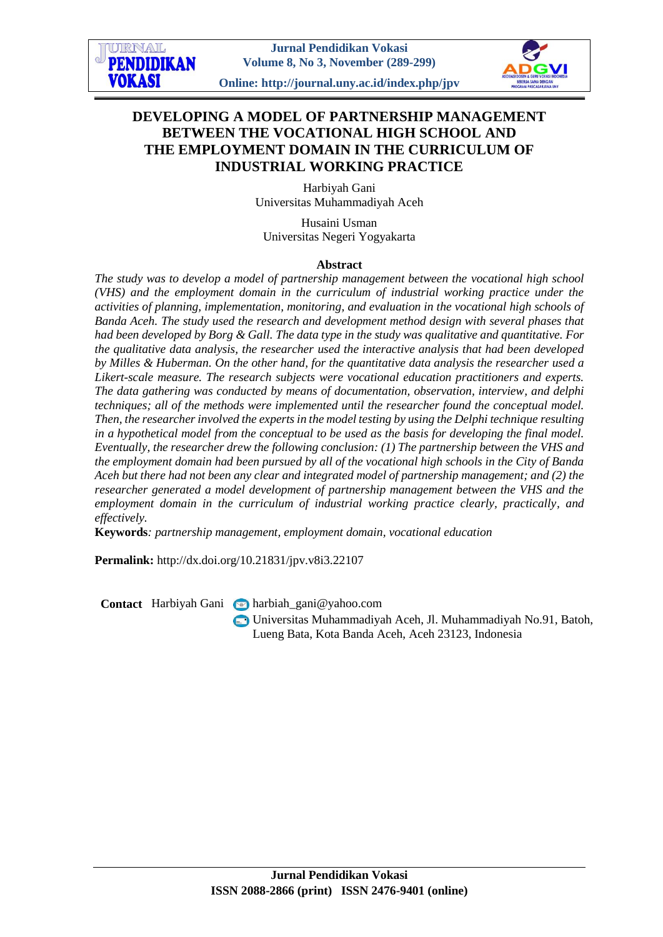# **DEVELOPING A MODEL OF PARTNERSHIP MANAGEMENT BETWEEN THE VOCATIONAL HIGH SCHOOL AND THE EMPLOYMENT DOMAIN IN THE CURRICULUM OF INDUSTRIAL WORKING PRACTICE**

Harbiyah Gani Universitas Muhammadiyah Aceh

Husaini Usman Universitas Negeri Yogyakarta

### **Abstract**

*The study was to develop a model of partnership management between the vocational high school (VHS) and the employment domain in the curriculum of industrial working practice under the activities of planning, implementation, monitoring, and evaluation in the vocational high schools of Banda Aceh. The study used the research and development method design with several phases that had been developed by Borg & Gall. The data type in the study was qualitative and quantitative. For the qualitative data analysis, the researcher used the interactive analysis that had been developed by Milles & Huberman. On the other hand, for the quantitative data analysis the researcher used a Likert-scale measure. The research subjects were vocational education practitioners and experts. The data gathering was conducted by means of documentation, observation, interview, and delphi techniques; all of the methods were implemented until the researcher found the conceptual model. Then, the researcher involved the experts in the model testing by using the Delphi technique resulting in a hypothetical model from the conceptual to be used as the basis for developing the final model. Eventually, the researcher drew the following conclusion: (1) The partnership between the VHS and the employment domain had been pursued by all of the vocational high schools in the City of Banda Aceh but there had not been any clear and integrated model of partnership management; and (2) the researcher generated a model development of partnership management between the VHS and the employment domain in the curriculum of industrial working practice clearly, practically, and effectively.*

**Keywords***: partnership management, employment domain, vocational education*

**Permalink:** http://dx.doi.org/10.21831/jpv.v8i3.22107

Contact Harbiyah Gani narbiah\_gani@yahoo.com

Universitas Muhammadiyah Aceh, Jl. Muhammadiyah No.91, Batoh, Lueng Bata, Kota Banda Aceh, Aceh 23123, Indonesia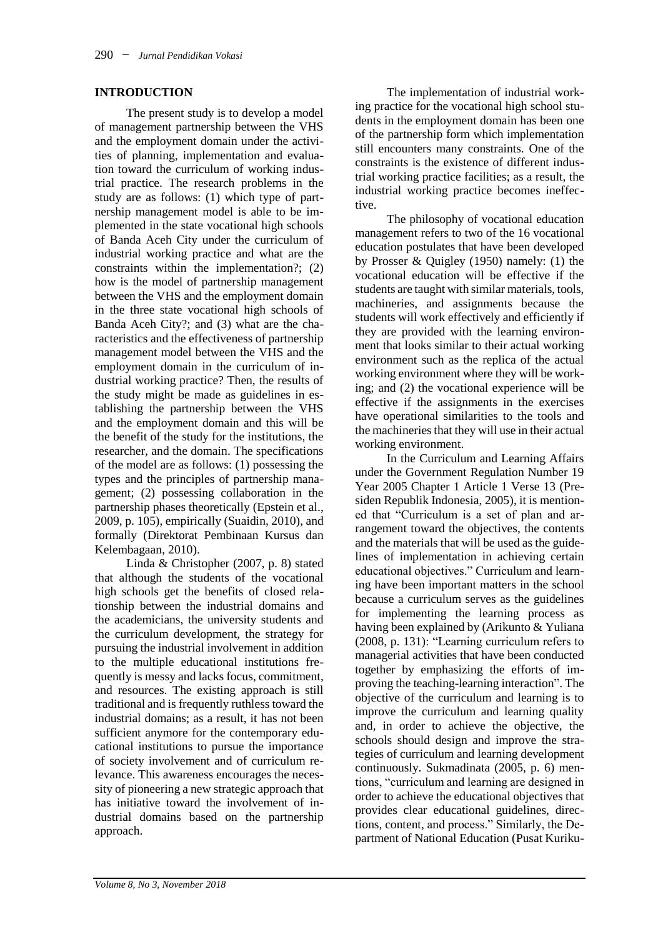#### **INTRODUCTION**

The present study is to develop a model of management partnership between the VHS and the employment domain under the activities of planning, implementation and evaluation toward the curriculum of working industrial practice. The research problems in the study are as follows: (1) which type of partnership management model is able to be implemented in the state vocational high schools of Banda Aceh City under the curriculum of industrial working practice and what are the constraints within the implementation?; (2) how is the model of partnership management between the VHS and the employment domain in the three state vocational high schools of Banda Aceh City?; and (3) what are the characteristics and the effectiveness of partnership management model between the VHS and the employment domain in the curriculum of industrial working practice? Then, the results of the study might be made as guidelines in establishing the partnership between the VHS and the employment domain and this will be the benefit of the study for the institutions, the researcher, and the domain. The specifications of the model are as follows: (1) possessing the types and the principles of partnership management; (2) possessing collaboration in the partnership phases theoretically (Epstein et al., 2009, p. 105), empirically (Suaidin, 2010), and formally (Direktorat Pembinaan Kursus dan Kelembagaan, 2010).

Linda & Christopher (2007, p. 8) stated that although the students of the vocational high schools get the benefits of closed relationship between the industrial domains and the academicians, the university students and the curriculum development, the strategy for pursuing the industrial involvement in addition to the multiple educational institutions frequently is messy and lacks focus, commitment, and resources. The existing approach is still traditional and is frequently ruthless toward the industrial domains; as a result, it has not been sufficient anymore for the contemporary educational institutions to pursue the importance of society involvement and of curriculum relevance. This awareness encourages the necessity of pioneering a new strategic approach that has initiative toward the involvement of industrial domains based on the partnership approach.

The implementation of industrial working practice for the vocational high school students in the employment domain has been one of the partnership form which implementation still encounters many constraints. One of the constraints is the existence of different industrial working practice facilities; as a result, the industrial working practice becomes ineffective.

The philosophy of vocational education management refers to two of the 16 vocational education postulates that have been developed by Prosser & Quigley (1950) namely: (1) the vocational education will be effective if the students are taught with similar materials, tools, machineries, and assignments because the students will work effectively and efficiently if they are provided with the learning environment that looks similar to their actual working environment such as the replica of the actual working environment where they will be working; and (2) the vocational experience will be effective if the assignments in the exercises have operational similarities to the tools and the machineries that they will use in their actual working environment.

In the Curriculum and Learning Affairs under the Government Regulation Number 19 Year 2005 Chapter 1 Article 1 Verse 13 (Presiden Republik Indonesia, 2005), it is mentioned that "Curriculum is a set of plan and arrangement toward the objectives, the contents and the materials that will be used as the guidelines of implementation in achieving certain educational objectives." Curriculum and learning have been important matters in the school because a curriculum serves as the guidelines for implementing the learning process as having been explained by (Arikunto & Yuliana (2008, p. 131): "Learning curriculum refers to managerial activities that have been conducted together by emphasizing the efforts of improving the teaching-learning interaction". The objective of the curriculum and learning is to improve the curriculum and learning quality and, in order to achieve the objective, the schools should design and improve the strategies of curriculum and learning development continuously. Sukmadinata (2005, p. 6) mentions, "curriculum and learning are designed in order to achieve the educational objectives that provides clear educational guidelines, directions, content, and process." Similarly, the Department of National Education (Pusat Kuriku-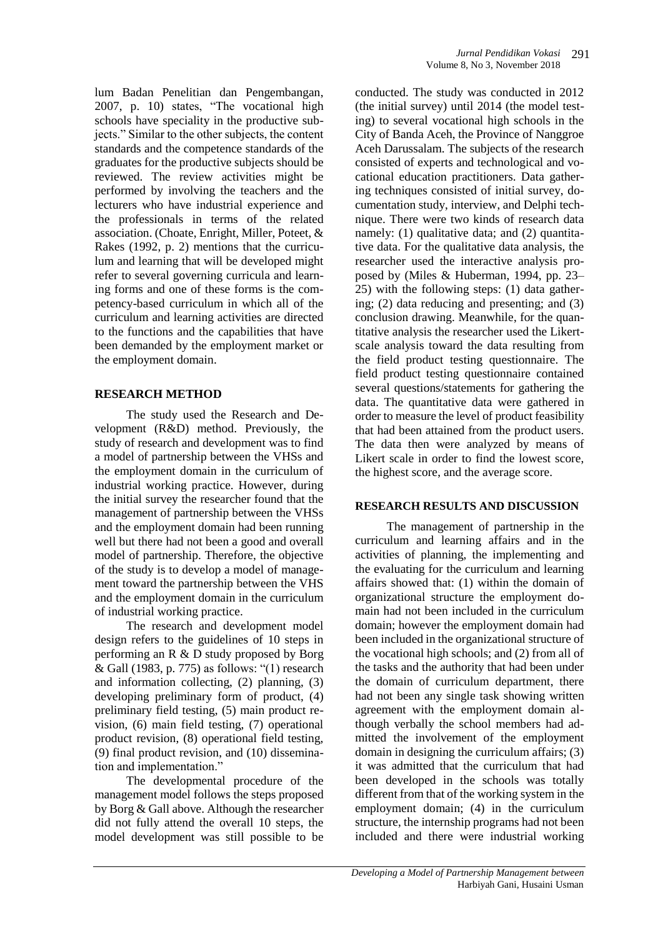lum Badan Penelitian dan Pengembangan, 2007, p. 10) states, "The vocational high schools have speciality in the productive subjects." Similar to the other subjects, the content standards and the competence standards of the graduates for the productive subjects should be reviewed. The review activities might be performed by involving the teachers and the lecturers who have industrial experience and the professionals in terms of the related association. (Choate, Enright, Miller, Poteet, & Rakes (1992, p. 2) mentions that the curriculum and learning that will be developed might refer to several governing curricula and learning forms and one of these forms is the competency-based curriculum in which all of the curriculum and learning activities are directed to the functions and the capabilities that have been demanded by the employment market or the employment domain.

## **RESEARCH METHOD**

The study used the Research and Development (R&D) method. Previously, the study of research and development was to find a model of partnership between the VHSs and the employment domain in the curriculum of industrial working practice. However, during the initial survey the researcher found that the management of partnership between the VHSs and the employment domain had been running well but there had not been a good and overall model of partnership. Therefore, the objective of the study is to develop a model of management toward the partnership between the VHS and the employment domain in the curriculum of industrial working practice.

The research and development model design refers to the guidelines of 10 steps in performing an R & D study proposed by Borg & Gall (1983, p. 775) as follows: "(1) research and information collecting, (2) planning, (3) developing preliminary form of product, (4) preliminary field testing, (5) main product revision, (6) main field testing, (7) operational product revision, (8) operational field testing, (9) final product revision, and (10) dissemination and implementation."

The developmental procedure of the management model follows the steps proposed by Borg & Gall above. Although the researcher did not fully attend the overall 10 steps, the model development was still possible to be

conducted. The study was conducted in 2012 (the initial survey) until 2014 (the model testing) to several vocational high schools in the City of Banda Aceh, the Province of Nanggroe Aceh Darussalam. The subjects of the research consisted of experts and technological and vocational education practitioners. Data gathering techniques consisted of initial survey, documentation study, interview, and Delphi technique. There were two kinds of research data namely: (1) qualitative data; and (2) quantitative data. For the qualitative data analysis, the researcher used the interactive analysis proposed by (Miles & Huberman, 1994, pp. 23– 25) with the following steps: (1) data gathering; (2) data reducing and presenting; and (3) conclusion drawing. Meanwhile, for the quantitative analysis the researcher used the Likertscale analysis toward the data resulting from the field product testing questionnaire. The field product testing questionnaire contained several questions/statements for gathering the data. The quantitative data were gathered in order to measure the level of product feasibility that had been attained from the product users. The data then were analyzed by means of Likert scale in order to find the lowest score, the highest score, and the average score.

## **RESEARCH RESULTS AND DISCUSSION**

The management of partnership in the curriculum and learning affairs and in the activities of planning, the implementing and the evaluating for the curriculum and learning affairs showed that: (1) within the domain of organizational structure the employment domain had not been included in the curriculum domain; however the employment domain had been included in the organizational structure of the vocational high schools; and (2) from all of the tasks and the authority that had been under the domain of curriculum department, there had not been any single task showing written agreement with the employment domain although verbally the school members had admitted the involvement of the employment domain in designing the curriculum affairs; (3) it was admitted that the curriculum that had been developed in the schools was totally different from that of the working system in the employment domain; (4) in the curriculum structure, the internship programs had not been included and there were industrial working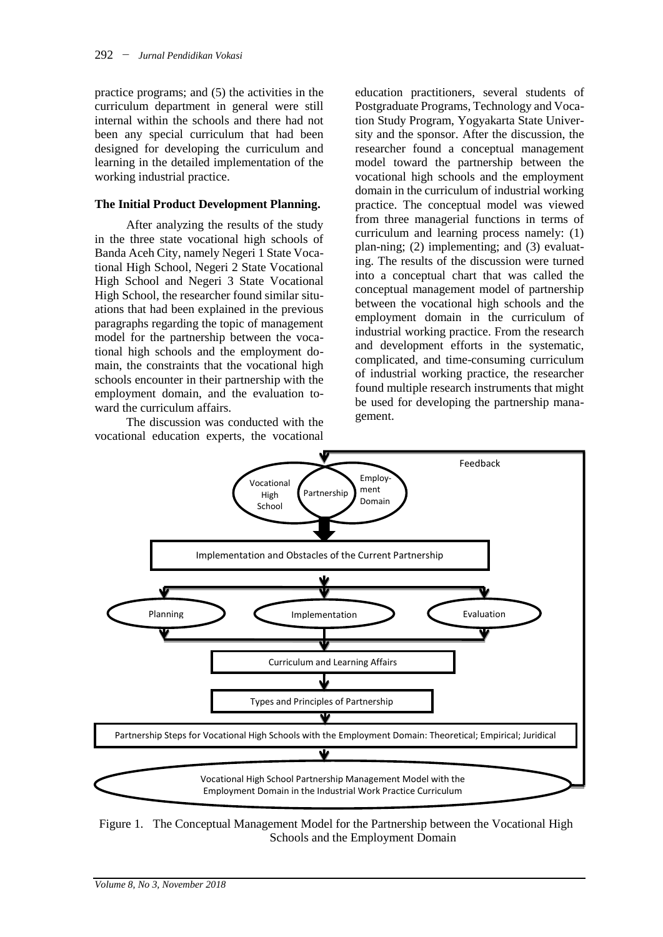practice programs; and (5) the activities in the curriculum department in general were still internal within the schools and there had not been any special curriculum that had been designed for developing the curriculum and learning in the detailed implementation of the working industrial practice.

#### **The Initial Product Development Planning.**

After analyzing the results of the study in the three state vocational high schools of Banda Aceh City, namely Negeri 1 State Vocational High School, Negeri 2 State Vocational High School and Negeri 3 State Vocational High School, the researcher found similar situations that had been explained in the previous paragraphs regarding the topic of management model for the partnership between the vocational high schools and the employment domain, the constraints that the vocational high schools encounter in their partnership with the employment domain, and the evaluation toward the curriculum affairs.

The discussion was conducted with the vocational education experts, the vocational education practitioners, several students of Postgraduate Programs, Technology and Vocation Study Program, Yogyakarta State University and the sponsor. After the discussion, the researcher found a conceptual management model toward the partnership between the vocational high schools and the employment domain in the curriculum of industrial working practice. The conceptual model was viewed from three managerial functions in terms of curriculum and learning process namely: (1) plan-ning; (2) implementing; and (3) evaluating. The results of the discussion were turned into a conceptual chart that was called the conceptual management model of partnership between the vocational high schools and the employment domain in the curriculum of industrial working practice. From the research and development efforts in the systematic, complicated, and time-consuming curriculum of industrial working practice, the researcher found multiple research instruments that might be used for developing the partnership management.



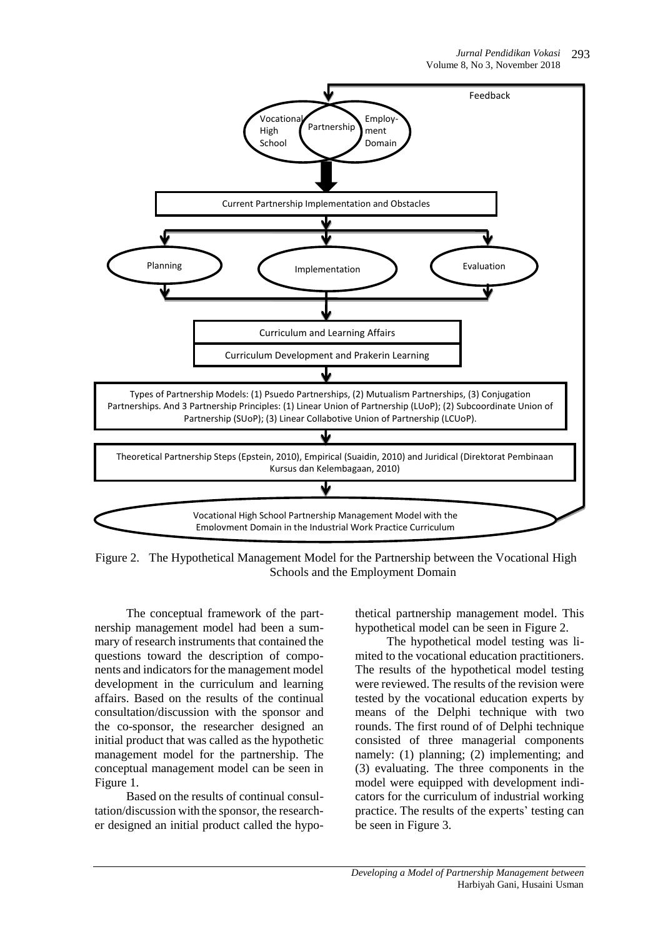

Figure 2. The Hypothetical Management Model for the Partnership between the Vocational High Schools and the Employment Domain

The conceptual framework of the partnership management model had been a summary of research instruments that contained the questions toward the description of components and indicators for the management model development in the curriculum and learning affairs. Based on the results of the continual consultation/discussion with the sponsor and the co-sponsor, the researcher designed an initial product that was called as the hypothetic management model for the partnership. The conceptual management model can be seen in Figure 1.

Based on the results of continual consultation/discussion with the sponsor, the researcher designed an initial product called the hypothetical partnership management model. This hypothetical model can be seen in Figure 2.

The hypothetical model testing was limited to the vocational education practitioners. The results of the hypothetical model testing were reviewed. The results of the revision were tested by the vocational education experts by means of the Delphi technique with two rounds. The first round of of Delphi technique consisted of three managerial components namely: (1) planning; (2) implementing; and (3) evaluating. The three components in the model were equipped with development indicators for the curriculum of industrial working practice. The results of the experts' testing can be seen in Figure 3.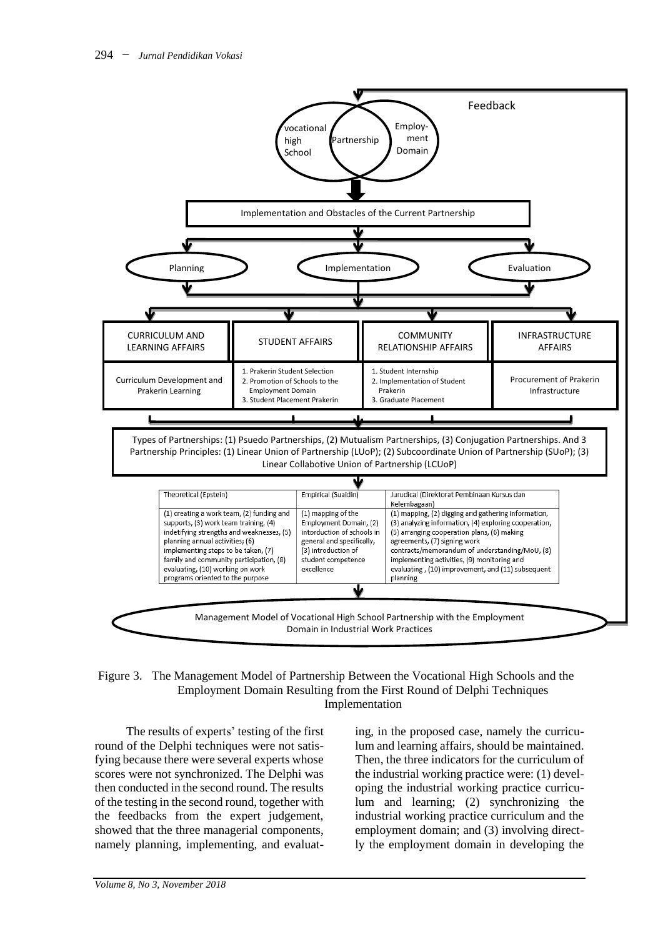

Figure 3. The Management Model of Partnership Between the Vocational High Schools and the Employment Domain Resulting from the First Round of Delphi Techniques Implementation

The results of experts' testing of the first round of the Delphi techniques were not satisfying because there were several experts whose scores were not synchronized. The Delphi was then conducted in the second round. The results of the testing in the second round, together with the feedbacks from the expert judgement, showed that the three managerial components, namely planning, implementing, and evaluat-

ing, in the proposed case, namely the curriculum and learning affairs, should be maintained. Then, the three indicators for the curriculum of the industrial working practice were: (1) developing the industrial working practice curriculum and learning; (2) synchronizing the industrial working practice curriculum and the employment domain; and (3) involving directly the employment domain in developing the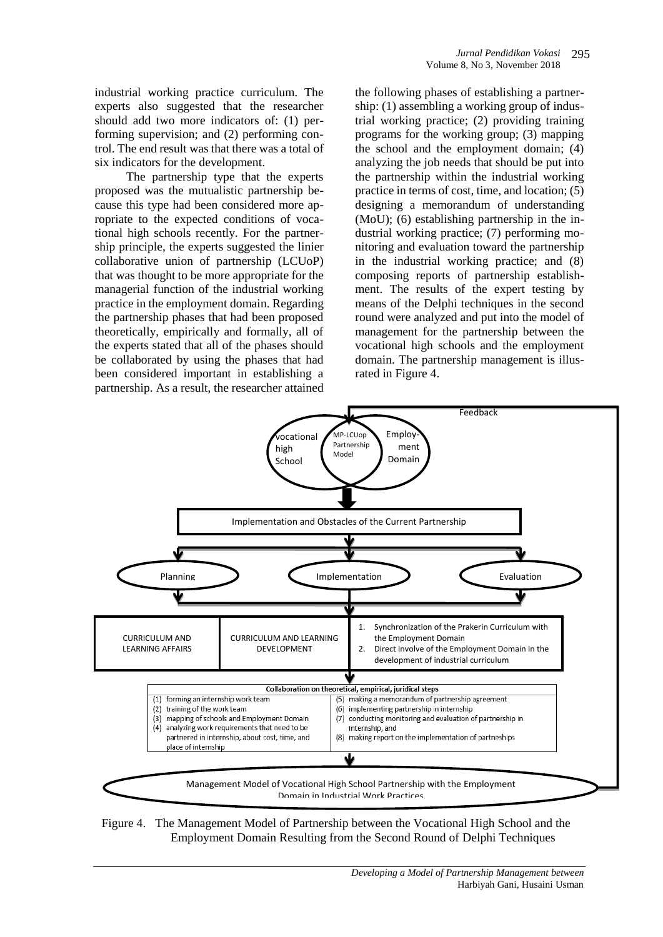industrial working practice curriculum. The experts also suggested that the researcher should add two more indicators of: (1) performing supervision; and (2) performing control. The end result was that there was a total of six indicators for the development.

The partnership type that the experts proposed was the mutualistic partnership because this type had been considered more apropriate to the expected conditions of vocational high schools recently. For the partnership principle, the experts suggested the linier collaborative union of partnership (LCUoP) that was thought to be more appropriate for the managerial function of the industrial working practice in the employment domain. Regarding the partnership phases that had been proposed theoretically, empirically and formally, all of the experts stated that all of the phases should be collaborated by using the phases that had been considered important in establishing a partnership. As a result, the researcher attained

the following phases of establishing a partnership: (1) assembling a working group of industrial working practice; (2) providing training programs for the working group; (3) mapping the school and the employment domain; (4) analyzing the job needs that should be put into the partnership within the industrial working practice in terms of cost, time, and location; (5) designing a memorandum of understanding (MoU); (6) establishing partnership in the industrial working practice; (7) performing monitoring and evaluation toward the partnership in the industrial working practice; and (8) composing reports of partnership establishment. The results of the expert testing by means of the Delphi techniques in the second round were analyzed and put into the model of management for the partnership between the vocational high schools and the employment domain. The partnership management is illusrated in Figure 4.



Figure 4. The Management Model of Partnership between the Vocational High School and the Employment Domain Resulting from the Second Round of Delphi Techniques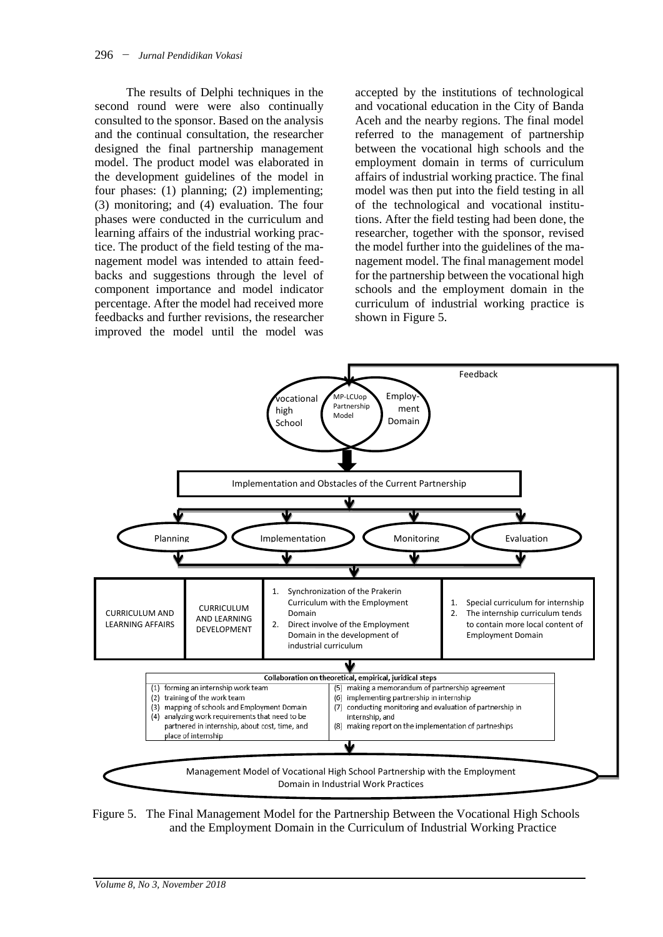The results of Delphi techniques in the second round were were also continually consulted to the sponsor. Based on the analysis and the continual consultation, the researcher designed the final partnership management model. The product model was elaborated in the development guidelines of the model in four phases: (1) planning; (2) implementing; (3) monitoring; and (4) evaluation. The four phases were conducted in the curriculum and learning affairs of the industrial working practice. The product of the field testing of the management model was intended to attain feedbacks and suggestions through the level of component importance and model indicator percentage. After the model had received more feedbacks and further revisions, the researcher improved the model until the model was

accepted by the institutions of technological and vocational education in the City of Banda Aceh and the nearby regions. The final model referred to the management of partnership between the vocational high schools and the employment domain in terms of curriculum affairs of industrial working practice. The final model was then put into the field testing in all of the technological and vocational institutions. After the field testing had been done, the researcher, together with the sponsor, revised the model further into the guidelines of the management model. The final management model for the partnership between the vocational high schools and the employment domain in the curriculum of industrial working practice is shown in Figure 5.



Figure 5. The Final Management Model for the Partnership Between the Vocational High Schools and the Employment Domain in the Curriculum of Industrial Working Practice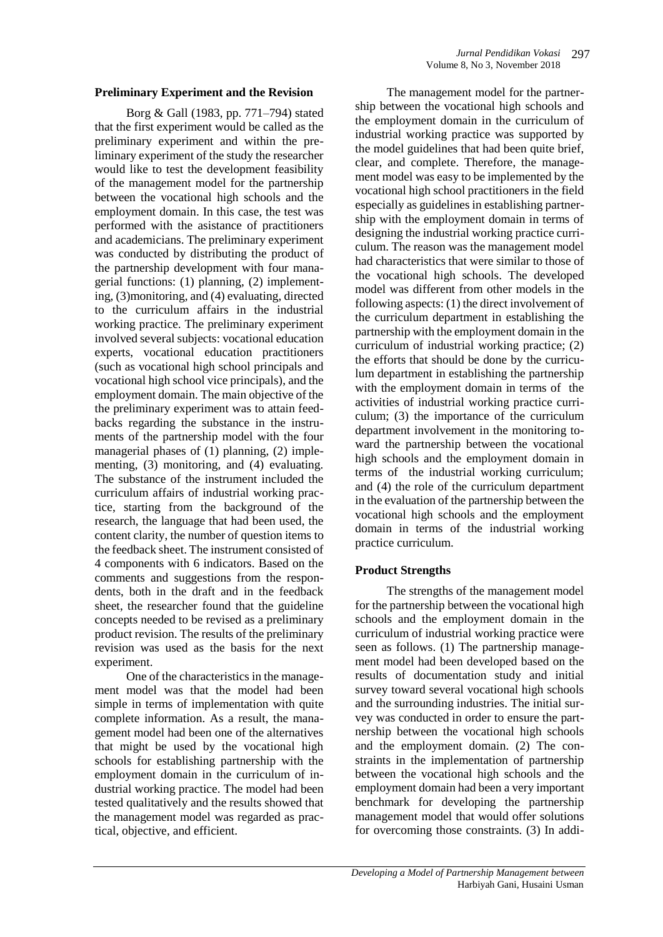#### **Preliminary Experiment and the Revision**

Borg & Gall (1983, pp. 771–794) stated that the first experiment would be called as the preliminary experiment and within the preliminary experiment of the study the researcher would like to test the development feasibility of the management model for the partnership between the vocational high schools and the employment domain. In this case, the test was performed with the asistance of practitioners and academicians. The preliminary experiment was conducted by distributing the product of the partnership development with four managerial functions: (1) planning, (2) implementing, (3)monitoring, and (4) evaluating, directed to the curriculum affairs in the industrial working practice. The preliminary experiment involved several subjects: vocational education experts, vocational education practitioners (such as vocational high school principals and vocational high school vice principals), and the employment domain. The main objective of the the preliminary experiment was to attain feedbacks regarding the substance in the instruments of the partnership model with the four managerial phases of (1) planning, (2) implementing, (3) monitoring, and (4) evaluating. The substance of the instrument included the curriculum affairs of industrial working practice, starting from the background of the research, the language that had been used, the content clarity, the number of question items to the feedback sheet. The instrument consisted of 4 components with 6 indicators. Based on the comments and suggestions from the respondents, both in the draft and in the feedback sheet, the researcher found that the guideline concepts needed to be revised as a preliminary product revision. The results of the preliminary revision was used as the basis for the next experiment.

One of the characteristics in the management model was that the model had been simple in terms of implementation with quite complete information. As a result, the management model had been one of the alternatives that might be used by the vocational high schools for establishing partnership with the employment domain in the curriculum of industrial working practice. The model had been tested qualitatively and the results showed that the management model was regarded as practical, objective, and efficient.

The management model for the partnership between the vocational high schools and the employment domain in the curriculum of industrial working practice was supported by the model guidelines that had been quite brief, clear, and complete. Therefore, the management model was easy to be implemented by the vocational high school practitioners in the field especially as guidelines in establishing partnership with the employment domain in terms of designing the industrial working practice curriculum. The reason was the management model had characteristics that were similar to those of the vocational high schools. The developed model was different from other models in the following aspects: (1) the direct involvement of the curriculum department in establishing the partnership with the employment domain in the curriculum of industrial working practice; (2) the efforts that should be done by the curriculum department in establishing the partnership with the employment domain in terms of the activities of industrial working practice curriculum; (3) the importance of the curriculum department involvement in the monitoring toward the partnership between the vocational high schools and the employment domain in terms of the industrial working curriculum; and (4) the role of the curriculum department in the evaluation of the partnership between the vocational high schools and the employment domain in terms of the industrial working practice curriculum.

## **Product Strengths**

The strengths of the management model for the partnership between the vocational high schools and the employment domain in the curriculum of industrial working practice were seen as follows. (1) The partnership management model had been developed based on the results of documentation study and initial survey toward several vocational high schools and the surrounding industries. The initial survey was conducted in order to ensure the partnership between the vocational high schools and the employment domain. (2) The constraints in the implementation of partnership between the vocational high schools and the employment domain had been a very important benchmark for developing the partnership management model that would offer solutions for overcoming those constraints. (3) In addi-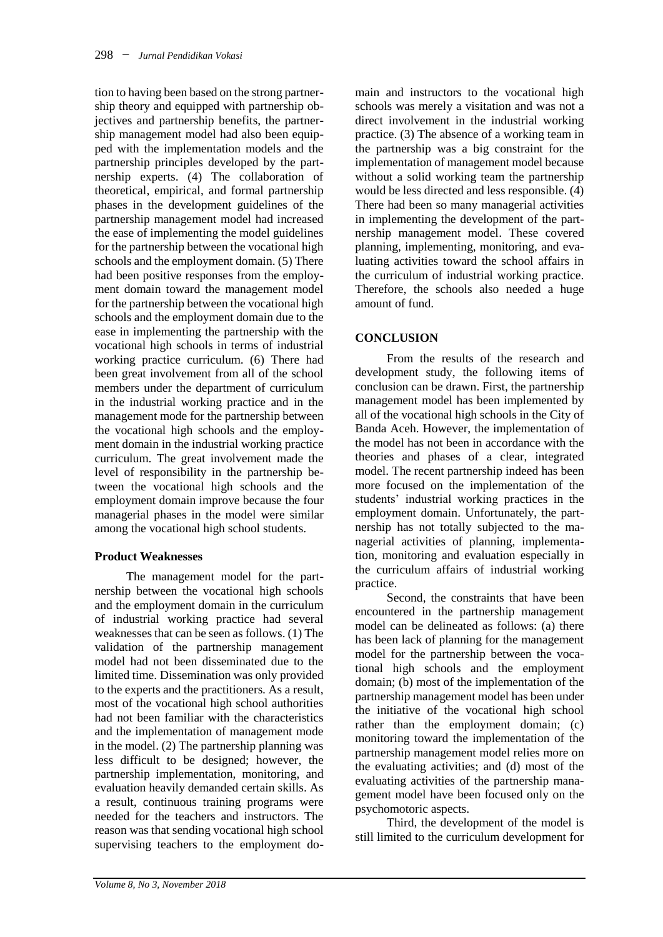tion to having been based on the strong partnership theory and equipped with partnership objectives and partnership benefits, the partnership management model had also been equipped with the implementation models and the partnership principles developed by the partnership experts. (4) The collaboration of theoretical, empirical, and formal partnership phases in the development guidelines of the partnership management model had increased the ease of implementing the model guidelines for the partnership between the vocational high schools and the employment domain. (5) There had been positive responses from the employment domain toward the management model for the partnership between the vocational high schools and the employment domain due to the ease in implementing the partnership with the vocational high schools in terms of industrial working practice curriculum. (6) There had been great involvement from all of the school members under the department of curriculum in the industrial working practice and in the management mode for the partnership between the vocational high schools and the employment domain in the industrial working practice curriculum. The great involvement made the level of responsibility in the partnership between the vocational high schools and the employment domain improve because the four managerial phases in the model were similar among the vocational high school students.

## **Product Weaknesses**

The management model for the partnership between the vocational high schools and the employment domain in the curriculum of industrial working practice had several weaknesses that can be seen as follows. (1) The validation of the partnership management model had not been disseminated due to the limited time. Dissemination was only provided to the experts and the practitioners. As a result, most of the vocational high school authorities had not been familiar with the characteristics and the implementation of management mode in the model. (2) The partnership planning was less difficult to be designed; however, the partnership implementation, monitoring, and evaluation heavily demanded certain skills. As a result, continuous training programs were needed for the teachers and instructors. The reason was that sending vocational high school supervising teachers to the employment do-

main and instructors to the vocational high schools was merely a visitation and was not a direct involvement in the industrial working practice. (3) The absence of a working team in the partnership was a big constraint for the implementation of management model because without a solid working team the partnership would be less directed and less responsible. (4) There had been so many managerial activities in implementing the development of the partnership management model. These covered planning, implementing, monitoring, and evaluating activities toward the school affairs in the curriculum of industrial working practice. Therefore, the schools also needed a huge amount of fund.

# **CONCLUSION**

From the results of the research and development study, the following items of conclusion can be drawn. First, the partnership management model has been implemented by all of the vocational high schools in the City of Banda Aceh. However, the implementation of the model has not been in accordance with the theories and phases of a clear, integrated model. The recent partnership indeed has been more focused on the implementation of the students' industrial working practices in the employment domain. Unfortunately, the partnership has not totally subjected to the managerial activities of planning, implementation, monitoring and evaluation especially in the curriculum affairs of industrial working practice.

Second, the constraints that have been encountered in the partnership management model can be delineated as follows: (a) there has been lack of planning for the management model for the partnership between the vocational high schools and the employment domain; (b) most of the implementation of the partnership management model has been under the initiative of the vocational high school rather than the employment domain; (c) monitoring toward the implementation of the partnership management model relies more on the evaluating activities; and (d) most of the evaluating activities of the partnership management model have been focused only on the psychomotoric aspects.

Third, the development of the model is still limited to the curriculum development for